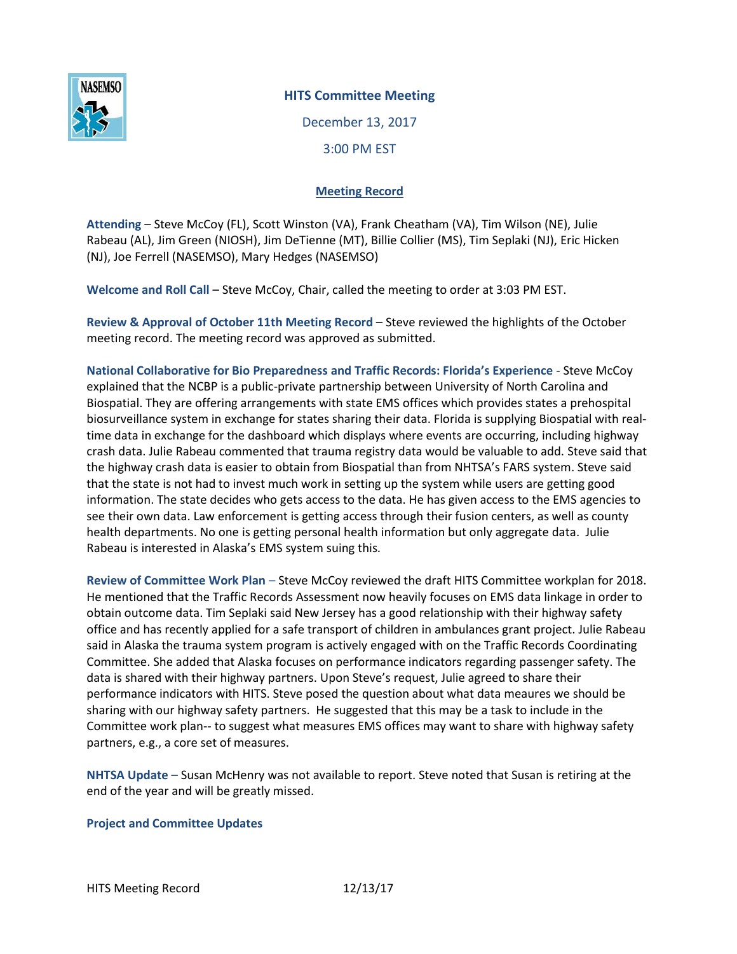

## **HITS Committee Meeting**

December 13, 2017 3:00 PM EST

## **Meeting Record**

**Attending** – Steve McCoy (FL), Scott Winston (VA), Frank Cheatham (VA), Tim Wilson (NE), Julie Rabeau (AL), Jim Green (NIOSH), Jim DeTienne (MT), Billie Collier (MS), Tim Seplaki (NJ), Eric Hicken (NJ), Joe Ferrell (NASEMSO), Mary Hedges (NASEMSO)

**Welcome and Roll Call** – Steve McCoy, Chair, called the meeting to order at 3:03 PM EST.

**Review & Approval of October 11th Meeting Record** – Steve reviewed the highlights of the October meeting record. The meeting record was approved as submitted.

**National Collaborative for Bio Preparedness and Traffic Records: Florida's Experience** - Steve McCoy explained that the NCBP is a public-private partnership between University of North Carolina and Biospatial. They are offering arrangements with state EMS offices which provides states a prehospital biosurveillance system in exchange for states sharing their data. Florida is supplying Biospatial with realtime data in exchange for the dashboard which displays where events are occurring, including highway crash data. Julie Rabeau commented that trauma registry data would be valuable to add. Steve said that the highway crash data is easier to obtain from Biospatial than from NHTSA's FARS system. Steve said that the state is not had to invest much work in setting up the system while users are getting good information. The state decides who gets access to the data. He has given access to the EMS agencies to see their own data. Law enforcement is getting access through their fusion centers, as well as county health departments. No one is getting personal health information but only aggregate data. Julie Rabeau is interested in Alaska's EMS system suing this.

**Review of Committee Work Plan** – Steve McCoy reviewed the draft HITS Committee workplan for 2018. He mentioned that the Traffic Records Assessment now heavily focuses on EMS data linkage in order to obtain outcome data. Tim Seplaki said New Jersey has a good relationship with their highway safety office and has recently applied for a safe transport of children in ambulances grant project. Julie Rabeau said in Alaska the trauma system program is actively engaged with on the Traffic Records Coordinating Committee. She added that Alaska focuses on performance indicators regarding passenger safety. The data is shared with their highway partners. Upon Steve's request, Julie agreed to share their performance indicators with HITS. Steve posed the question about what data meaures we should be sharing with our highway safety partners. He suggested that this may be a task to include in the Committee work plan-- to suggest what measures EMS offices may want to share with highway safety partners, e.g., a core set of measures.

**NHTSA Update** – Susan McHenry was not available to report. Steve noted that Susan is retiring at the end of the year and will be greatly missed.

## **Project and Committee Updates**